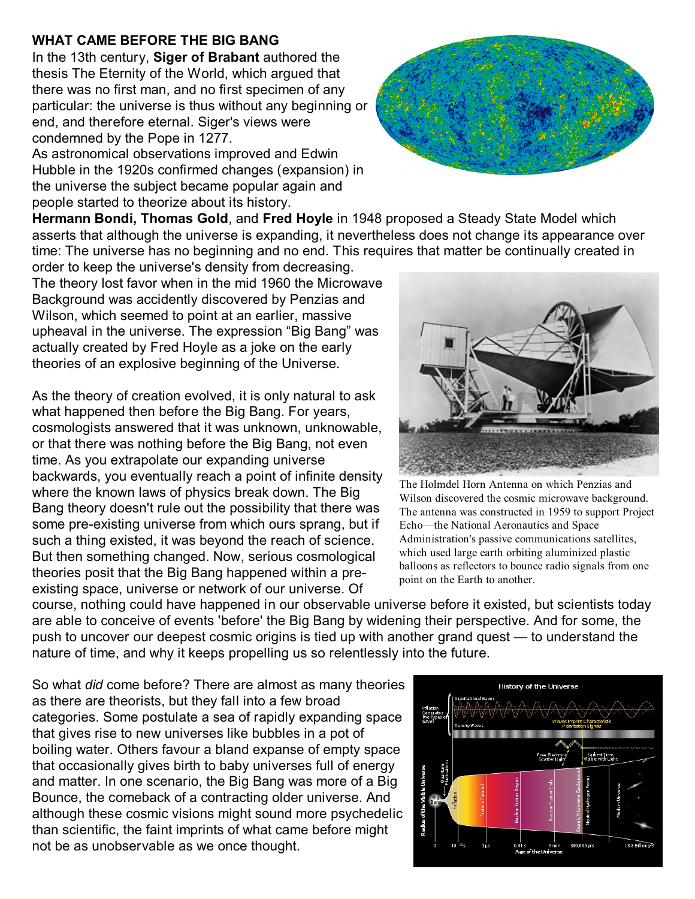## **WHAT CAME BEFORE THE BIG BANG**

In the 13th century, **Siger of Brabant** authored the thesis The Eternity of the World, which argued that there was no first man, and no first specimen of any particular: the universe is thus without any beginning or end, and therefore eternal. Siger's views were condemned by the Pope in 1277.

As astronomical observations improved and Edwin Hubble in the 1920s confirmed changes (expansion) in the universe the subject became popular again and people started to theorize about its history.

**Hermann Bondi, Thomas Gold**, and **Fred Hoyle** in 1948 proposed a Steady State Model which asserts that although the universe is expanding, it nevertheless does not change its appearance over time: The universe has no beginning and no end. This requires that matter be continually created in

order to keep the universe's density from decreasing. The theory lost favor when in the mid 1960 the Microwave Background was accidently discovered by Penzias and Wilson, which seemed to point at an earlier, massive upheaval in the universe. The expression "Big Bang" was actually created by Fred Hoyle as a joke on the early theories of an explosive beginning of the Universe.

As the theory of creation evolved, it is only natural to ask what happened then before the Big Bang. For years, cosmologists answered that it was unknown, unknowable, or that there was nothing before the Big Bang, not even time. As you extrapolate our expanding universe backwards, you eventually reach a point of infinite density where the known laws of physics break down. The Big Bang theory doesn't rule out the possibility that there was some pre-existing universe from which ours sprang, but if such a thing existed, it was beyond the reach of science. But then something changed. Now, serious cosmological theories posit that the Big Bang happened within a preexisting space, universe or network of our universe. Of



The Holmdel Horn Antenna on which Penzias and Wilson discovered the cosmic microwave background. The antenna was constructed in 1959 to support Project Echo—the National Aeronautics and Space Administration's passive communications satellites, which used large earth orbiting aluminized plastic balloons as reflectors to bounce radio signals from one point on the Earth to another.

course, nothing could have happened in our observable universe before it existed, but scientists today are able to conceive of events 'before' the Big Bang by widening their perspective. And for some, the push to uncover our deepest cosmic origins is tied up with another grand quest — to understand the nature of time, and why it keeps propelling us so relentlessly into the future.

So what *did* come before? There are almost as many theories as there are theorists, but they fall into a few broad categories. Some postulate a sea of rapidly expanding space that gives rise to new universes like bubbles in a pot of boiling water. Others favour a bland expanse of empty space that occasionally gives birth to baby universes full of energy and matter. In one scenario, the Big Bang was more of a Big Bounce, the comeback of a contracting older universe. And although these cosmic visions might sound more psychedelic than scientific, the faint imprints of what came before might not be as unobservable as we once thought.